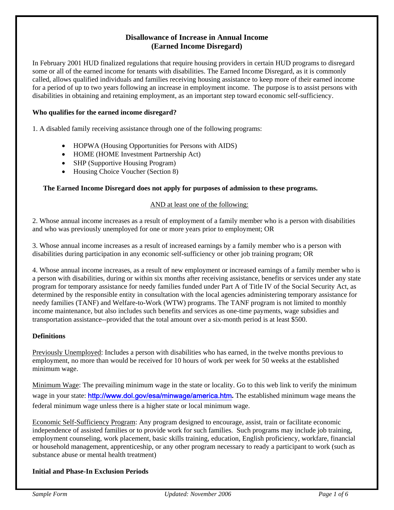# **Disallowance of Increase in Annual Income (Earned Income Disregard)**

In February 2001 HUD finalized regulations that require housing providers in certain HUD programs to disregard some or all of the earned income for tenants with disabilities. The Earned Income Disregard, as it is commonly called, allows qualified individuals and families receiving housing assistance to keep more of their earned income for a period of up to two years following an increase in employment income. The purpose is to assist persons with disabilities in obtaining and retaining employment, as an important step toward economic self-sufficiency.

# **Who qualifies for the earned income disregard?**

1. A disabled family receiving assistance through one of the following programs:

- HOPWA (Housing Opportunities for Persons with AIDS)
- HOME (HOME Investment Partnership Act)
- SHP (Supportive Housing Program)
- Housing Choice Voucher (Section 8)

#### **The Earned Income Disregard does not apply for purposes of admission to these programs.**

#### AND at least one of the following:

2. Whose annual income increases as a result of employment of a family member who is a person with disabilities and who was previously unemployed for one or more years prior to employment; OR

3. Whose annual income increases as a result of increased earnings by a family member who is a person with disabilities during participation in any economic self-sufficiency or other job training program; OR

4. Whose annual income increases, as a result of new employment or increased earnings of a family member who is a person with disabilities, during or within six months after receiving assistance, benefits or services under any state program for temporary assistance for needy families funded under Part A of Title IV of the Social Security Act, as determined by the responsible entity in consultation with the local agencies administering temporary assistance for needy families (TANF) and Welfare-to-Work (WTW) programs. The TANF program is not limited to monthly income maintenance, but also includes such benefits and services as one-time payments, wage subsidies and transportation assistance--provided that the total amount over a six-month period is at least \$500.

#### **Definitions**

Previously Unemployed: Includes a person with disabilities who has earned, in the twelve months previous to employment, no more than would be received for 10 hours of work per week for 50 weeks at the established minimum wage.

Minimum Wage: The prevailing minimum wage in the state or locality. Go to this web link to verify the minimum wage in your state: <http://www.dol.gov/esa/minwage/america.htm>**.** The established minimum wage means the federal minimum wage unless there is a higher state or local minimum wage.

Economic Self-Sufficiency Program: Any program designed to encourage, assist, train or facilitate economic independence of assisted families or to provide work for such families. Such programs may include job training, employment counseling, work placement, basic skills training, education, English proficiency, workfare, financial or household management, apprenticeship, or any other program necessary to ready a participant to work (such as substance abuse or mental health treatment)

#### **Initial and Phase-In Exclusion Periods**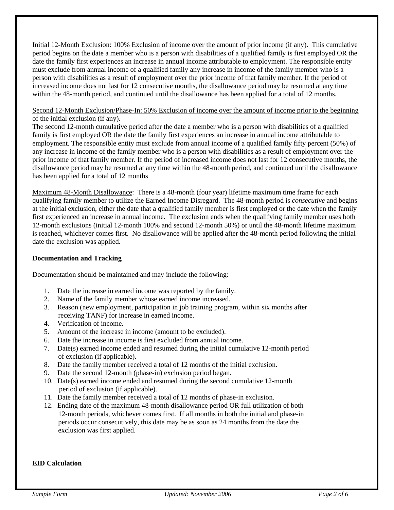Initial 12-Month Exclusion: 100% Exclusion of income over the amount of prior income (if any). This cumulative period begins on the date a member who is a person with disabilities of a qualified family is first employed OR the date the family first experiences an increase in annual income attributable to employment. The responsible entity must exclude from annual income of a qualified family any increase in income of the family member who is a person with disabilities as a result of employment over the prior income of that family member. If the period of increased income does not last for 12 consecutive months, the disallowance period may be resumed at any time within the 48-month period, and continued until the disallowance has been applied for a total of 12 months.

#### Second 12-Month Exclusion/Phase-In: 50% Exclusion of income over the amount of income prior to the beginning of the initial exclusion (if any).

The second 12-month cumulative period after the date a member who is a person with disabilities of a qualified family is first employed OR the date the family first experiences an increase in annual income attributable to employment. The responsible entity must exclude from annual income of a qualified family fifty percent (50%) of any increase in income of the family member who is a person with disabilities as a result of employment over the prior income of that family member. If the period of increased income does not last for 12 consecutive months, the disallowance period may be resumed at any time within the 48-month period, and continued until the disallowance has been applied for a total of 12 months

Maximum 48-Month Disallowance: There is a 48-month (four year) lifetime maximum time frame for each qualifying family member to utilize the Earned Income Disregard. The 48-month period is *consecutive* and begins at the initial exclusion, either the date that a qualified family member is first employed or the date when the family first experienced an increase in annual income. The exclusion ends when the qualifying family member uses both 12-month exclusions (initial 12-month 100% and second 12-month 50%) or until the 48-month lifetime maximum is reached, whichever comes first. No disallowance will be applied after the 48-month period following the initial date the exclusion was applied.

## **Documentation and Tracking**

Documentation should be maintained and may include the following:

- 1. Date the increase in earned income was reported by the family.
- 2. Name of the family member whose earned income increased.
- 3. Reason (new employment, participation in job training program, within six months after receiving TANF) for increase in earned income.
- 4. Verification of income.
- 5. Amount of the increase in income (amount to be excluded).
- 6. Date the increase in income is first excluded from annual income.
- 7. Date(s) earned income ended and resumed during the initial cumulative 12-month period of exclusion (if applicable).
- 8. Date the family member received a total of 12 months of the initial exclusion.
- 9. Date the second 12-month (phase-in) exclusion period began.
- 10. Date(s) earned income ended and resumed during the second cumulative 12-month period of exclusion (if applicable).
- 11. Date the family member received a total of 12 months of phase-in exclusion.
- 12. Ending date of the maximum 48-month disallowance period OR full utilization of both 12-month periods, whichever comes first. If all months in both the initial and phase-in periods occur consecutively, this date may be as soon as 24 months from the date the exclusion was first applied.

## **EID Calculation**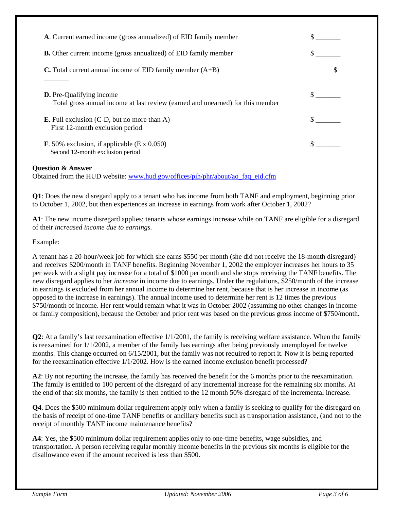| A. Current earned income (gross annualized) of EID family member                                                  |  |
|-------------------------------------------------------------------------------------------------------------------|--|
| <b>B.</b> Other current income (gross annualized) of EID family member                                            |  |
| <b>C.</b> Total current annual income of EID family member $(A+B)$                                                |  |
| <b>D.</b> Pre-Qualifying income<br>Total gross annual income at last review (earned and unearned) for this member |  |
| <b>E.</b> Full exclusion $(C-D)$ , but no more than A)<br>First 12-month exclusion period                         |  |
| <b>F.</b> 50% exclusion, if applicable $(E \times 0.050)$<br>Second 12-month exclusion period                     |  |

# **Question & Answer**

Obtained from the HUD website: [www.hud.gov/offices/pih/phr/about/ao\\_faq\\_eid.cfm](http://www.hud.gov/offices/pih/phr/about/ao_faq_eid.cfm)

**Q1**: Does the new disregard apply to a tenant who has income from both TANF and employment, beginning prior to October 1, 2002, but then experiences an increase in earnings from work after October 1, 2002?

**A1**: The new income disregard applies; tenants whose earnings increase while on TANF are eligible for a disregard of their *increased income due to earnings.* 

Example:

A tenant has a 20-hour/week job for which she earns \$550 per month (she did not receive the 18-month disregard) and receives \$200/month in TANF benefits. Beginning November 1, 2002 the employer increases her hours to 35 per week with a slight pay increase for a total of \$1000 per month and she stops receiving the TANF benefits. The new disregard applies to her *increase* in income due to earnings. Under the regulations, \$250/month of the increase in earnings is excluded from her annual income to determine her rent, because that is her increase in income (as opposed to the increase in earnings). The annual income used to determine her rent is 12 times the previous \$750/month of income. Her rent would remain what it was in October 2002 (assuming no other changes in income or family composition), because the October and prior rent was based on the previous gross income of \$750/month.

**Q2**: At a family's last reexamination effective 1/1/2001, the family is receiving welfare assistance. When the family is reexamined for 1/1/2002, a member of the family has earnings after being previously unemployed for twelve months. This change occurred on 6/15/2001, but the family was not required to report it. Now it is being reported for the reexamination effective 1/1/2002. How is the earned income exclusion benefit processed?

**A2**: By not reporting the increase, the family has received the benefit for the 6 months prior to the reexamination. The family is entitled to 100 percent of the disregard of any incremental increase for the remaining six months. At the end of that six months, the family is then entitled to the 12 month 50% disregard of the incremental increase.

**Q4**. Does the \$500 minimum dollar requirement apply only when a family is seeking to qualify for the disregard on the basis of receipt of one-time TANF benefits or ancillary benefits such as transportation assistance, (and not to the receipt of monthly TANF income maintenance benefits?

**A4**: Yes, the \$500 minimum dollar requirement applies only to one-time benefits, wage subsidies, and transportation. A person receiving regular monthly income benefits in the previous six months is eligible for the disallowance even if the amount received is less than \$500.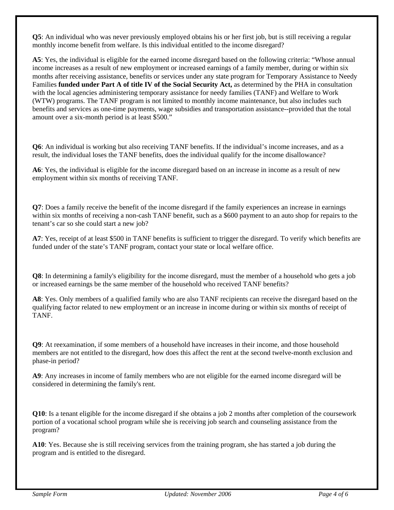**Q5**: An individual who was never previously employed obtains his or her first job, but is still receiving a regular monthly income benefit from welfare. Is this individual entitled to the income disregard?

**A5**: Yes, the individual is eligible for the earned income disregard based on the following criteria: "Whose annual income increases as a result of new employment or increased earnings of a family member, during or within six months after receiving assistance, benefits or services under any state program for Temporary Assistance to Needy Families **funded under Part A of title IV of the Social Security Act,** as determined by the PHA in consultation with the local agencies administering temporary assistance for needy families (TANF) and Welfare to Work (WTW) programs. The TANF program is not limited to monthly income maintenance, but also includes such benefits and services as one-time payments, wage subsidies and transportation assistance--provided that the total amount over a six-month period is at least \$500."

**Q6**: An individual is working but also receiving TANF benefits. If the individual's income increases, and as a result, the individual loses the TANF benefits, does the individual qualify for the income disallowance?

**A6**: Yes, the individual is eligible for the income disregard based on an increase in income as a result of new employment within six months of receiving TANF.

**Q7**: Does a family receive the benefit of the income disregard if the family experiences an increase in earnings within six months of receiving a non-cash TANF benefit, such as a \$600 payment to an auto shop for repairs to the tenant's car so she could start a new job?

**A7**: Yes, receipt of at least \$500 in TANF benefits is sufficient to trigger the disregard. To verify which benefits are funded under of the state's TANF program, contact your state or local welfare office.

**Q8**: In determining a family's eligibility for the income disregard, must the member of a household who gets a job or increased earnings be the same member of the household who received TANF benefits?

**A8**: Yes. Only members of a qualified family who are also TANF recipients can receive the disregard based on the qualifying factor related to new employment or an increase in income during or within six months of receipt of TANF.

**Q9**: At reexamination, if some members of a household have increases in their income, and those household members are not entitled to the disregard, how does this affect the rent at the second twelve-month exclusion and phase-in period?

**A9**: Any increases in income of family members who are not eligible for the earned income disregard will be considered in determining the family's rent.

**Q10**: Is a tenant eligible for the income disregard if she obtains a job 2 months after completion of the coursework portion of a vocational school program while she is receiving job search and counseling assistance from the program?

**A10**: Yes. Because she is still receiving services from the training program, she has started a job during the program and is entitled to the disregard.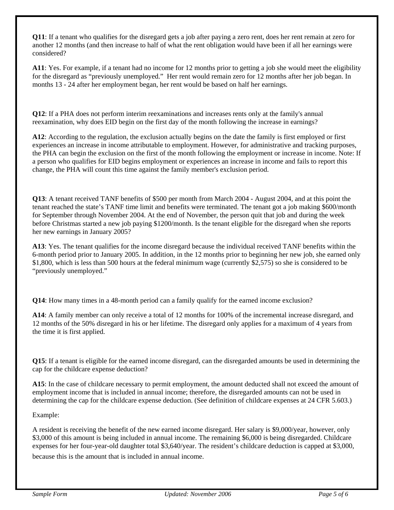**Q11**: If a tenant who qualifies for the disregard gets a job after paying a zero rent, does her rent remain at zero for another 12 months (and then increase to half of what the rent obligation would have been if all her earnings were considered?

**A11**: Yes. For example, if a tenant had no income for 12 months prior to getting a job she would meet the eligibility for the disregard as "previously unemployed." Her rent would remain zero for 12 months after her job began. In months 13 - 24 after her employment began, her rent would be based on half her earnings.

**Q12**: If a PHA does not perform interim reexaminations and increases rents only at the family's annual reexamination, why does EID begin on the first day of the month following the increase in earnings?

**A12**: According to the regulation, the exclusion actually begins on the date the family is first employed or first experiences an increase in income attributable to employment. However, for administrative and tracking purposes, the PHA can begin the exclusion on the first of the month following the employment or increase in income. Note: If a person who qualifies for EID begins employment or experiences an increase in income and fails to report this change, the PHA will count this time against the family member's exclusion period.

**Q13**: A tenant received TANF benefits of \$500 per month from March 2004 - August 2004, and at this point the tenant reached the state's TANF time limit and benefits were terminated. The tenant got a job making \$600/month for September through November 2004. At the end of November, the person quit that job and during the week before Christmas started a new job paying \$1200/month. Is the tenant eligible for the disregard when she reports her new earnings in January 2005?

**A13**: Yes. The tenant qualifies for the income disregard because the individual received TANF benefits within the 6-month period prior to January 2005. In addition, in the 12 months prior to beginning her new job, she earned only \$1,800, which is less than 500 hours at the federal minimum wage (currently \$2,575) so she is considered to be "previously unemployed."

**Q14**: How many times in a 48-month period can a family qualify for the earned income exclusion?

**A14**: A family member can only receive a total of 12 months for 100% of the incremental increase disregard, and 12 months of the 50% disregard in his or her lifetime. The disregard only applies for a maximum of 4 years from the time it is first applied.

**Q15**: If a tenant is eligible for the earned income disregard, can the disregarded amounts be used in determining the cap for the childcare expense deduction?

**A15**: In the case of childcare necessary to permit employment, the amount deducted shall not exceed the amount of employment income that is included in annual income; therefore, the disregarded amounts can not be used in determining the cap for the childcare expense deduction. (See definition of childcare expenses at 24 CFR 5.603.)

Example:

A resident is receiving the benefit of the new earned income disregard. Her salary is \$9,000/year, however, only \$3,000 of this amount is being included in annual income. The remaining \$6,000 is being disregarded. Childcare expenses for her four-year-old daughter total \$3,640/year. The resident's childcare deduction is capped at \$3,000,

because this is the amount that is included in annual income.